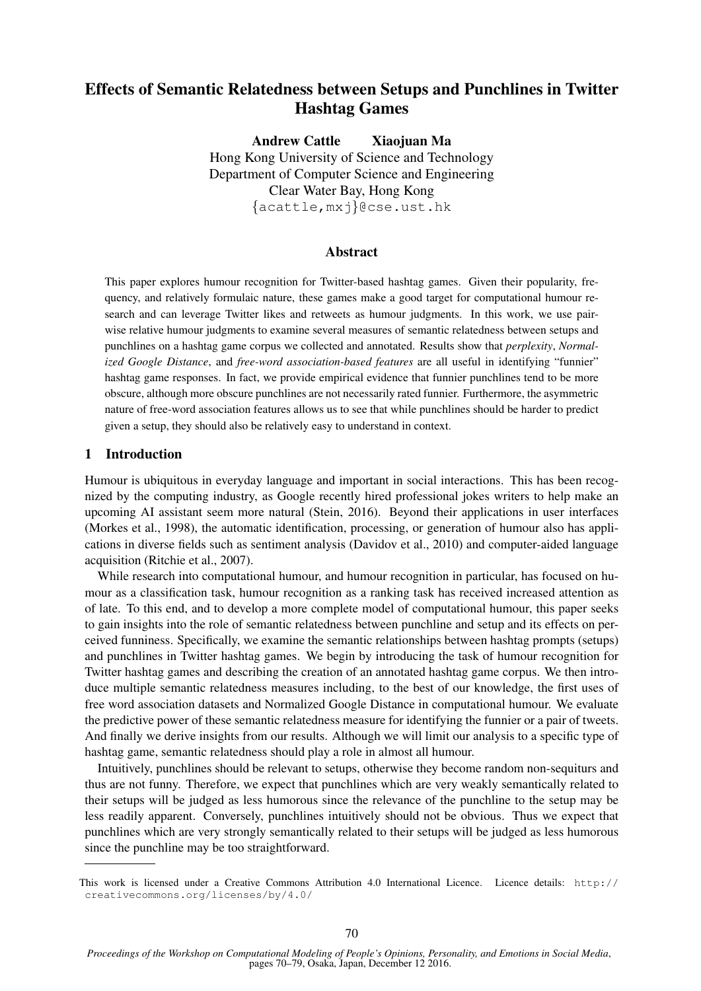# Effects of Semantic Relatedness between Setups and Punchlines in Twitter Hashtag Games

Andrew Cattle Xiaojuan Ma Hong Kong University of Science and Technology Department of Computer Science and Engineering Clear Water Bay, Hong Kong {acattle,mxj}@cse.ust.hk

### Abstract

This paper explores humour recognition for Twitter-based hashtag games. Given their popularity, frequency, and relatively formulaic nature, these games make a good target for computational humour research and can leverage Twitter likes and retweets as humour judgments. In this work, we use pairwise relative humour judgments to examine several measures of semantic relatedness between setups and punchlines on a hashtag game corpus we collected and annotated. Results show that *perplexity*, *Normalized Google Distance*, and *free-word association-based features* are all useful in identifying "funnier" hashtag game responses. In fact, we provide empirical evidence that funnier punchlines tend to be more obscure, although more obscure punchlines are not necessarily rated funnier. Furthermore, the asymmetric nature of free-word association features allows us to see that while punchlines should be harder to predict given a setup, they should also be relatively easy to understand in context.

### 1 Introduction

Humour is ubiquitous in everyday language and important in social interactions. This has been recognized by the computing industry, as Google recently hired professional jokes writers to help make an upcoming AI assistant seem more natural (Stein, 2016). Beyond their applications in user interfaces (Morkes et al., 1998), the automatic identification, processing, or generation of humour also has applications in diverse fields such as sentiment analysis (Davidov et al., 2010) and computer-aided language acquisition (Ritchie et al., 2007).

While research into computational humour, and humour recognition in particular, has focused on humour as a classification task, humour recognition as a ranking task has received increased attention as of late. To this end, and to develop a more complete model of computational humour, this paper seeks to gain insights into the role of semantic relatedness between punchline and setup and its effects on perceived funniness. Specifically, we examine the semantic relationships between hashtag prompts (setups) and punchlines in Twitter hashtag games. We begin by introducing the task of humour recognition for Twitter hashtag games and describing the creation of an annotated hashtag game corpus. We then introduce multiple semantic relatedness measures including, to the best of our knowledge, the first uses of free word association datasets and Normalized Google Distance in computational humour. We evaluate the predictive power of these semantic relatedness measure for identifying the funnier or a pair of tweets. And finally we derive insights from our results. Although we will limit our analysis to a specific type of hashtag game, semantic relatedness should play a role in almost all humour.

Intuitively, punchlines should be relevant to setups, otherwise they become random non-sequiturs and thus are not funny. Therefore, we expect that punchlines which are very weakly semantically related to their setups will be judged as less humorous since the relevance of the punchline to the setup may be less readily apparent. Conversely, punchlines intuitively should not be obvious. Thus we expect that punchlines which are very strongly semantically related to their setups will be judged as less humorous since the punchline may be too straightforward.

This work is licensed under a Creative Commons Attribution 4.0 International Licence. Licence details: http:// creativecommons.org/licenses/by/4.0/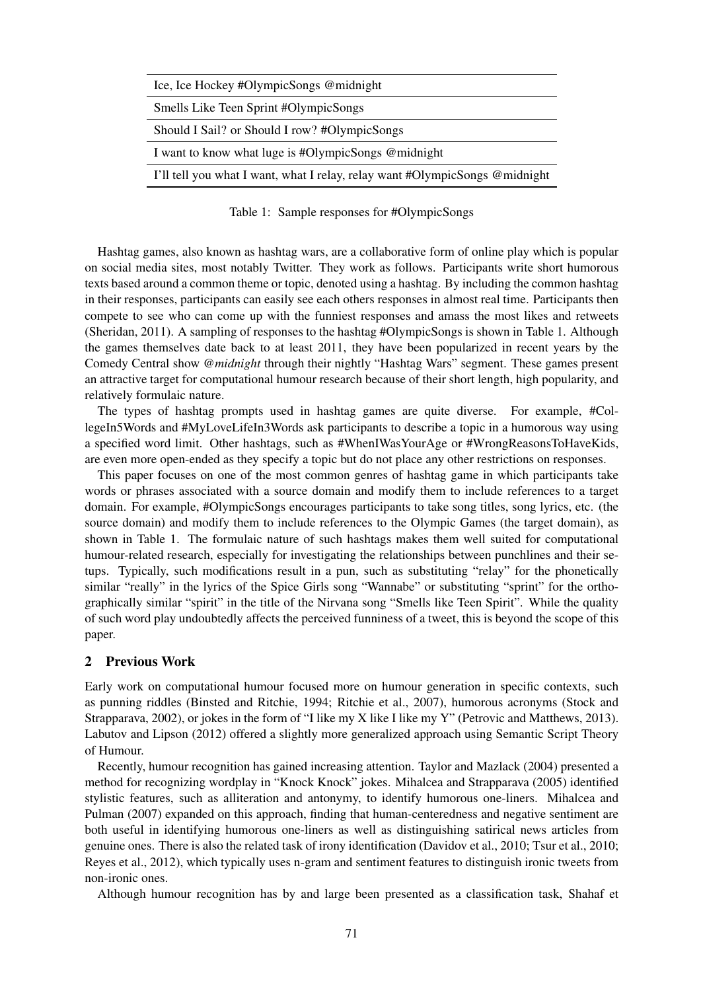| Ice, Ice Hockey #OlympicSongs @midnight                                     |
|-----------------------------------------------------------------------------|
| Smells Like Teen Sprint #OlympicSongs                                       |
| Should I Sail? or Should I row? #OlympicSongs                               |
| I want to know what luge is #OlympicSongs @midnight                         |
| I'll tell you what I want, what I relay, relay want #OlympicSongs @midnight |
|                                                                             |

Table 1: Sample responses for #OlympicSongs

Hashtag games, also known as hashtag wars, are a collaborative form of online play which is popular on social media sites, most notably Twitter. They work as follows. Participants write short humorous texts based around a common theme or topic, denoted using a hashtag. By including the common hashtag in their responses, participants can easily see each others responses in almost real time. Participants then compete to see who can come up with the funniest responses and amass the most likes and retweets (Sheridan, 2011). A sampling of responses to the hashtag #OlympicSongs is shown in Table 1. Although the games themselves date back to at least 2011, they have been popularized in recent years by the Comedy Central show *@midnight* through their nightly "Hashtag Wars" segment. These games present an attractive target for computational humour research because of their short length, high popularity, and relatively formulaic nature.

The types of hashtag prompts used in hashtag games are quite diverse. For example, #CollegeIn5Words and #MyLoveLifeIn3Words ask participants to describe a topic in a humorous way using a specified word limit. Other hashtags, such as #WhenIWasYourAge or #WrongReasonsToHaveKids, are even more open-ended as they specify a topic but do not place any other restrictions on responses.

This paper focuses on one of the most common genres of hashtag game in which participants take words or phrases associated with a source domain and modify them to include references to a target domain. For example, #OlympicSongs encourages participants to take song titles, song lyrics, etc. (the source domain) and modify them to include references to the Olympic Games (the target domain), as shown in Table 1. The formulaic nature of such hashtags makes them well suited for computational humour-related research, especially for investigating the relationships between punchlines and their setups. Typically, such modifications result in a pun, such as substituting "relay" for the phonetically similar "really" in the lyrics of the Spice Girls song "Wannabe" or substituting "sprint" for the orthographically similar "spirit" in the title of the Nirvana song "Smells like Teen Spirit". While the quality of such word play undoubtedly affects the perceived funniness of a tweet, this is beyond the scope of this paper.

# 2 Previous Work

Early work on computational humour focused more on humour generation in specific contexts, such as punning riddles (Binsted and Ritchie, 1994; Ritchie et al., 2007), humorous acronyms (Stock and Strapparava, 2002), or jokes in the form of "I like my X like I like my Y" (Petrovic and Matthews, 2013). Labutov and Lipson (2012) offered a slightly more generalized approach using Semantic Script Theory of Humour.

Recently, humour recognition has gained increasing attention. Taylor and Mazlack (2004) presented a method for recognizing wordplay in "Knock Knock" jokes. Mihalcea and Strapparava (2005) identified stylistic features, such as alliteration and antonymy, to identify humorous one-liners. Mihalcea and Pulman (2007) expanded on this approach, finding that human-centeredness and negative sentiment are both useful in identifying humorous one-liners as well as distinguishing satirical news articles from genuine ones. There is also the related task of irony identification (Davidov et al., 2010; Tsur et al., 2010; Reyes et al., 2012), which typically uses n-gram and sentiment features to distinguish ironic tweets from non-ironic ones.

Although humour recognition has by and large been presented as a classification task, Shahaf et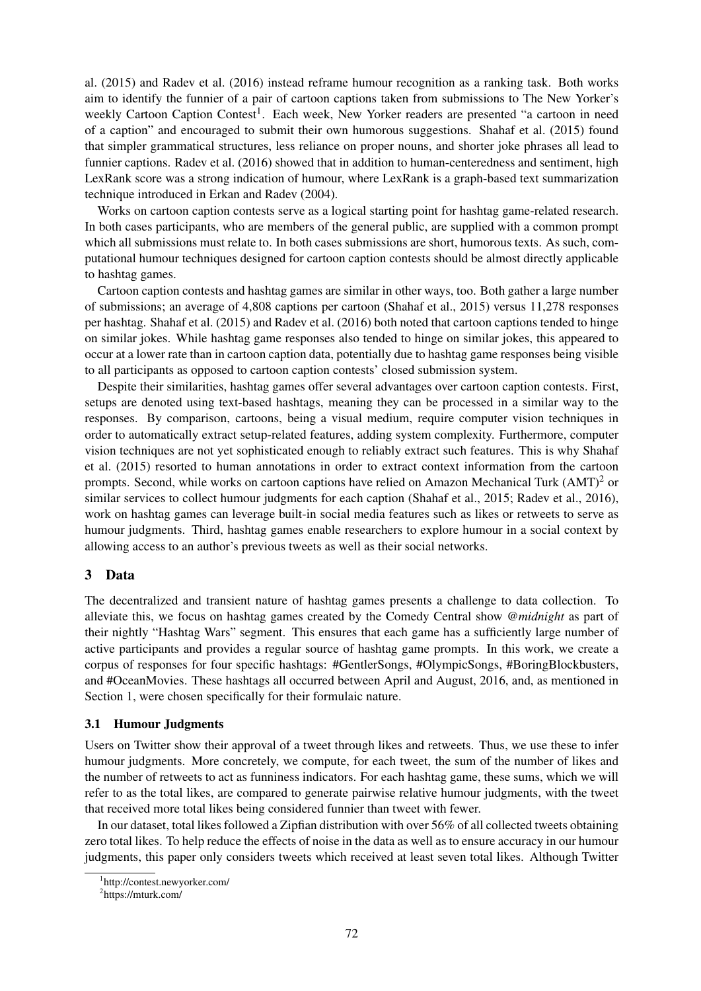al. (2015) and Radev et al. (2016) instead reframe humour recognition as a ranking task. Both works aim to identify the funnier of a pair of cartoon captions taken from submissions to The New Yorker's weekly Cartoon Caption Contest<sup>1</sup>. Each week, New Yorker readers are presented "a cartoon in need of a caption" and encouraged to submit their own humorous suggestions. Shahaf et al. (2015) found that simpler grammatical structures, less reliance on proper nouns, and shorter joke phrases all lead to funnier captions. Radev et al. (2016) showed that in addition to human-centeredness and sentiment, high LexRank score was a strong indication of humour, where LexRank is a graph-based text summarization technique introduced in Erkan and Radev (2004).

Works on cartoon caption contests serve as a logical starting point for hashtag game-related research. In both cases participants, who are members of the general public, are supplied with a common prompt which all submissions must relate to. In both cases submissions are short, humorous texts. As such, computational humour techniques designed for cartoon caption contests should be almost directly applicable to hashtag games.

Cartoon caption contests and hashtag games are similar in other ways, too. Both gather a large number of submissions; an average of 4,808 captions per cartoon (Shahaf et al., 2015) versus 11,278 responses per hashtag. Shahaf et al. (2015) and Radev et al. (2016) both noted that cartoon captions tended to hinge on similar jokes. While hashtag game responses also tended to hinge on similar jokes, this appeared to occur at a lower rate than in cartoon caption data, potentially due to hashtag game responses being visible to all participants as opposed to cartoon caption contests' closed submission system.

Despite their similarities, hashtag games offer several advantages over cartoon caption contests. First, setups are denoted using text-based hashtags, meaning they can be processed in a similar way to the responses. By comparison, cartoons, being a visual medium, require computer vision techniques in order to automatically extract setup-related features, adding system complexity. Furthermore, computer vision techniques are not yet sophisticated enough to reliably extract such features. This is why Shahaf et al. (2015) resorted to human annotations in order to extract context information from the cartoon prompts. Second, while works on cartoon captions have relied on Amazon Mechanical Turk  $(AMT)^2$  or similar services to collect humour judgments for each caption (Shahaf et al., 2015; Radev et al., 2016), work on hashtag games can leverage built-in social media features such as likes or retweets to serve as humour judgments. Third, hashtag games enable researchers to explore humour in a social context by allowing access to an author's previous tweets as well as their social networks.

# 3 Data

The decentralized and transient nature of hashtag games presents a challenge to data collection. To alleviate this, we focus on hashtag games created by the Comedy Central show *@midnight* as part of their nightly "Hashtag Wars" segment. This ensures that each game has a sufficiently large number of active participants and provides a regular source of hashtag game prompts. In this work, we create a corpus of responses for four specific hashtags: #GentlerSongs, #OlympicSongs, #BoringBlockbusters, and #OceanMovies. These hashtags all occurred between April and August, 2016, and, as mentioned in Section 1, were chosen specifically for their formulaic nature.

# 3.1 Humour Judgments

Users on Twitter show their approval of a tweet through likes and retweets. Thus, we use these to infer humour judgments. More concretely, we compute, for each tweet, the sum of the number of likes and the number of retweets to act as funniness indicators. For each hashtag game, these sums, which we will refer to as the total likes, are compared to generate pairwise relative humour judgments, with the tweet that received more total likes being considered funnier than tweet with fewer.

In our dataset, total likes followed a Zipfian distribution with over 56% of all collected tweets obtaining zero total likes. To help reduce the effects of noise in the data as well as to ensure accuracy in our humour judgments, this paper only considers tweets which received at least seven total likes. Although Twitter

<sup>1</sup> http://contest.newyorker.com/

<sup>2</sup> https://mturk.com/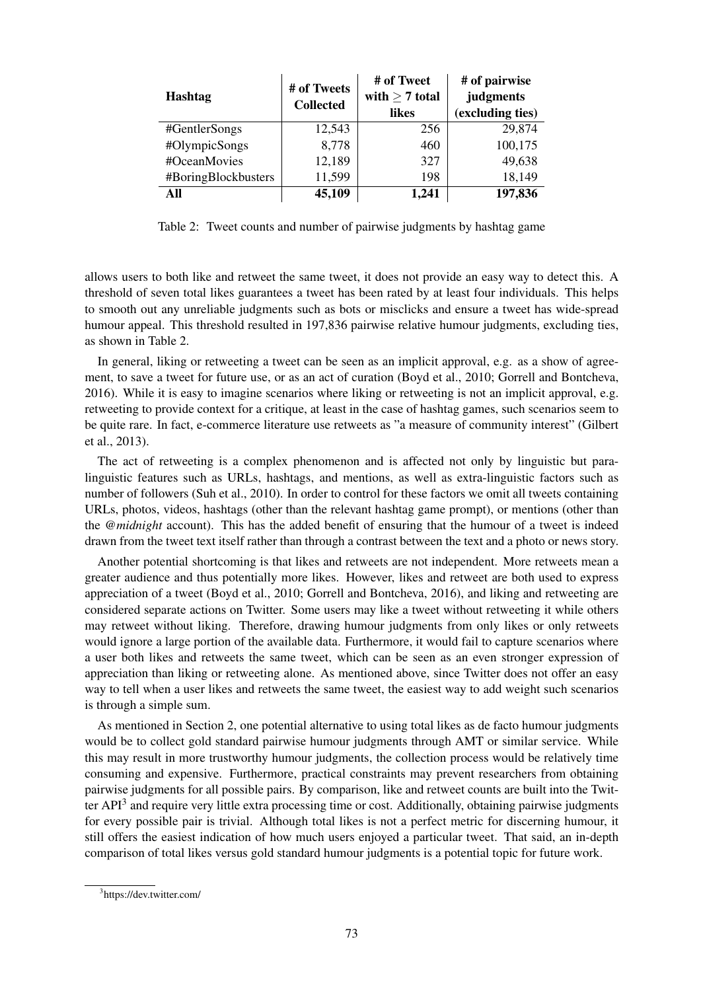| <b>Hashtag</b>      | # of Tweets<br><b>Collected</b> | # of Tweet<br>with $\geq 7$ total<br>likes | # of pairwise<br>judgments<br>(excluding ties) |
|---------------------|---------------------------------|--------------------------------------------|------------------------------------------------|
| #GentlerSongs       | 12,543                          | 256                                        | 29,874                                         |
| #OlympicSongs       | 8,778                           | 460                                        | 100,175                                        |
| #OceanMovies        | 12,189                          | 327                                        | 49,638                                         |
| #BoringBlockbusters | 11,599                          | 198                                        | 18,149                                         |
| All                 | 45,109                          | 1,241                                      | 197,836                                        |

Table 2: Tweet counts and number of pairwise judgments by hashtag game

allows users to both like and retweet the same tweet, it does not provide an easy way to detect this. A threshold of seven total likes guarantees a tweet has been rated by at least four individuals. This helps to smooth out any unreliable judgments such as bots or misclicks and ensure a tweet has wide-spread humour appeal. This threshold resulted in 197,836 pairwise relative humour judgments, excluding ties, as shown in Table 2.

In general, liking or retweeting a tweet can be seen as an implicit approval, e.g. as a show of agreement, to save a tweet for future use, or as an act of curation (Boyd et al., 2010; Gorrell and Bontcheva, 2016). While it is easy to imagine scenarios where liking or retweeting is not an implicit approval, e.g. retweeting to provide context for a critique, at least in the case of hashtag games, such scenarios seem to be quite rare. In fact, e-commerce literature use retweets as "a measure of community interest" (Gilbert et al., 2013).

The act of retweeting is a complex phenomenon and is affected not only by linguistic but paralinguistic features such as URLs, hashtags, and mentions, as well as extra-linguistic factors such as number of followers (Suh et al., 2010). In order to control for these factors we omit all tweets containing URLs, photos, videos, hashtags (other than the relevant hashtag game prompt), or mentions (other than the *@midnight* account). This has the added benefit of ensuring that the humour of a tweet is indeed drawn from the tweet text itself rather than through a contrast between the text and a photo or news story.

Another potential shortcoming is that likes and retweets are not independent. More retweets mean a greater audience and thus potentially more likes. However, likes and retweet are both used to express appreciation of a tweet (Boyd et al., 2010; Gorrell and Bontcheva, 2016), and liking and retweeting are considered separate actions on Twitter. Some users may like a tweet without retweeting it while others may retweet without liking. Therefore, drawing humour judgments from only likes or only retweets would ignore a large portion of the available data. Furthermore, it would fail to capture scenarios where a user both likes and retweets the same tweet, which can be seen as an even stronger expression of appreciation than liking or retweeting alone. As mentioned above, since Twitter does not offer an easy way to tell when a user likes and retweets the same tweet, the easiest way to add weight such scenarios is through a simple sum.

As mentioned in Section 2, one potential alternative to using total likes as de facto humour judgments would be to collect gold standard pairwise humour judgments through AMT or similar service. While this may result in more trustworthy humour judgments, the collection process would be relatively time consuming and expensive. Furthermore, practical constraints may prevent researchers from obtaining pairwise judgments for all possible pairs. By comparison, like and retweet counts are built into the Twitter API<sup>3</sup> and require very little extra processing time or cost. Additionally, obtaining pairwise judgments for every possible pair is trivial. Although total likes is not a perfect metric for discerning humour, it still offers the easiest indication of how much users enjoyed a particular tweet. That said, an in-depth comparison of total likes versus gold standard humour judgments is a potential topic for future work.

<sup>3</sup> https://dev.twitter.com/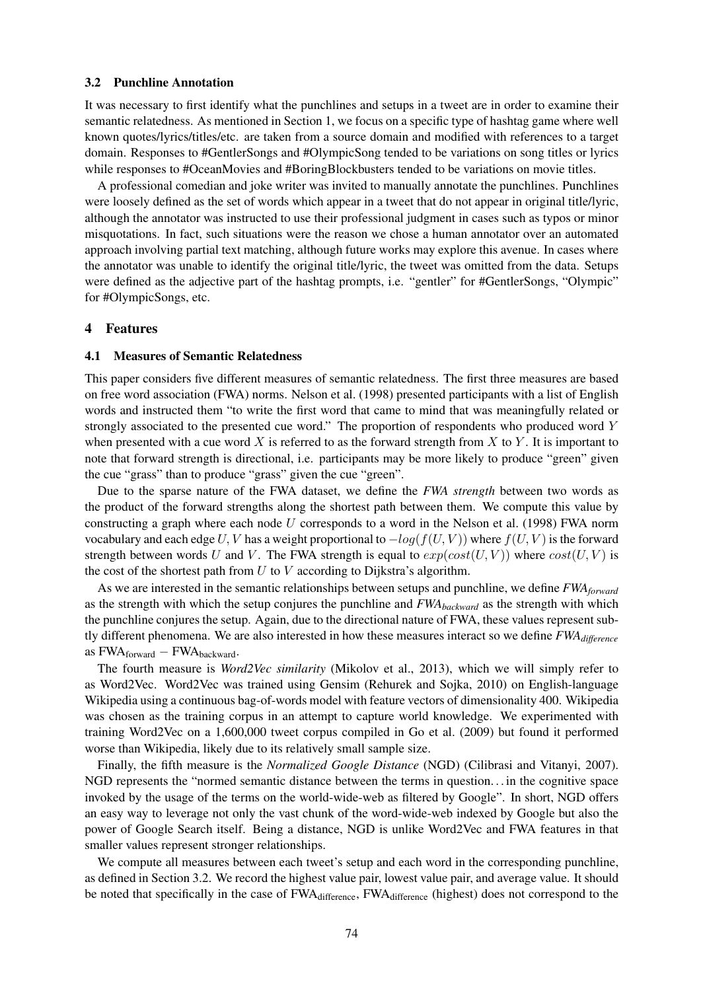#### 3.2 Punchline Annotation

It was necessary to first identify what the punchlines and setups in a tweet are in order to examine their semantic relatedness. As mentioned in Section 1, we focus on a specific type of hashtag game where well known quotes/lyrics/titles/etc. are taken from a source domain and modified with references to a target domain. Responses to #GentlerSongs and #OlympicSong tended to be variations on song titles or lyrics while responses to #OceanMovies and #BoringBlockbusters tended to be variations on movie titles.

A professional comedian and joke writer was invited to manually annotate the punchlines. Punchlines were loosely defined as the set of words which appear in a tweet that do not appear in original title/lyric, although the annotator was instructed to use their professional judgment in cases such as typos or minor misquotations. In fact, such situations were the reason we chose a human annotator over an automated approach involving partial text matching, although future works may explore this avenue. In cases where the annotator was unable to identify the original title/lyric, the tweet was omitted from the data. Setups were defined as the adjective part of the hashtag prompts, i.e. "gentler" for #GentlerSongs, "Olympic" for #OlympicSongs, etc.

#### 4 Features

#### 4.1 Measures of Semantic Relatedness

This paper considers five different measures of semantic relatedness. The first three measures are based on free word association (FWA) norms. Nelson et al. (1998) presented participants with a list of English words and instructed them "to write the first word that came to mind that was meaningfully related or strongly associated to the presented cue word." The proportion of respondents who produced word Y when presented with a cue word  $X$  is referred to as the forward strength from  $X$  to  $Y$ . It is important to note that forward strength is directional, i.e. participants may be more likely to produce "green" given the cue "grass" than to produce "grass" given the cue "green".

Due to the sparse nature of the FWA dataset, we define the *FWA strength* between two words as the product of the forward strengths along the shortest path between them. We compute this value by constructing a graph where each node  $U$  corresponds to a word in the Nelson et al. (1998) FWA norm vocabulary and each edge U, V has a weight proportional to  $-log(f(U, V))$  where  $f(U, V)$  is the forward strength between words U and V. The FWA strength is equal to  $exp(cost(U, V))$  where  $cost(U, V)$  is the cost of the shortest path from  $U$  to  $V$  according to Dijkstra's algorithm.

As we are interested in the semantic relationships between setups and punchline, we define *FWAforward* as the strength with which the setup conjures the punchline and *FWAbackward* as the strength with which the punchline conjures the setup. Again, due to the directional nature of FWA, these values represent subtly different phenomena. We are also interested in how these measures interact so we define *FWAdifference* as  $FWA_{forward} - FWA_{backward}$ .

The fourth measure is *Word2Vec similarity* (Mikolov et al., 2013), which we will simply refer to as Word2Vec. Word2Vec was trained using Gensim (Rehurek and Sojka, 2010) on English-language Wikipedia using a continuous bag-of-words model with feature vectors of dimensionality 400. Wikipedia was chosen as the training corpus in an attempt to capture world knowledge. We experimented with training Word2Vec on a 1,600,000 tweet corpus compiled in Go et al. (2009) but found it performed worse than Wikipedia, likely due to its relatively small sample size.

Finally, the fifth measure is the *Normalized Google Distance* (NGD) (Cilibrasi and Vitanyi, 2007). NGD represents the "normed semantic distance between the terms in question. . . in the cognitive space invoked by the usage of the terms on the world-wide-web as filtered by Google". In short, NGD offers an easy way to leverage not only the vast chunk of the word-wide-web indexed by Google but also the power of Google Search itself. Being a distance, NGD is unlike Word2Vec and FWA features in that smaller values represent stronger relationships.

We compute all measures between each tweet's setup and each word in the corresponding punchline, as defined in Section 3.2. We record the highest value pair, lowest value pair, and average value. It should be noted that specifically in the case of FWA<sub>difference</sub>, FWA<sub>difference</sub> (highest) does not correspond to the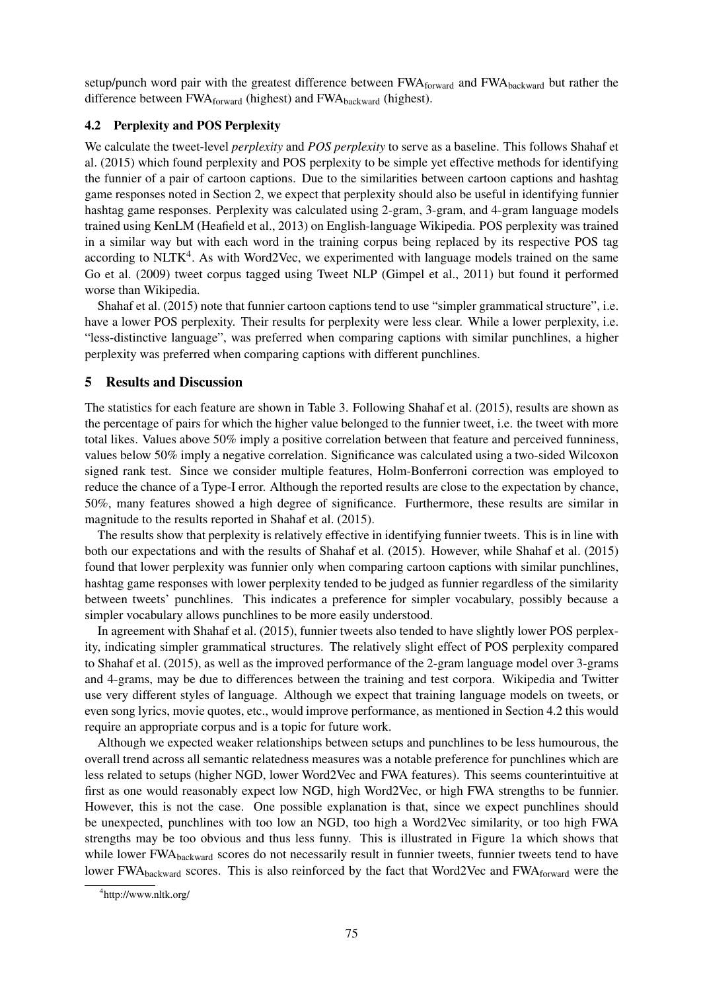setup/punch word pair with the greatest difference between FWAforward and FWAbackward but rather the difference between FWA<sub>forward</sub> (highest) and FWA<sub>backward</sub> (highest).

# 4.2 Perplexity and POS Perplexity

We calculate the tweet-level *perplexity* and *POS perplexity* to serve as a baseline. This follows Shahaf et al. (2015) which found perplexity and POS perplexity to be simple yet effective methods for identifying the funnier of a pair of cartoon captions. Due to the similarities between cartoon captions and hashtag game responses noted in Section 2, we expect that perplexity should also be useful in identifying funnier hashtag game responses. Perplexity was calculated using 2-gram, 3-gram, and 4-gram language models trained using KenLM (Heafield et al., 2013) on English-language Wikipedia. POS perplexity was trained in a similar way but with each word in the training corpus being replaced by its respective POS tag according to NLTK<sup>4</sup>. As with Word2Vec, we experimented with language models trained on the same Go et al. (2009) tweet corpus tagged using Tweet NLP (Gimpel et al., 2011) but found it performed worse than Wikipedia.

Shahaf et al. (2015) note that funnier cartoon captions tend to use "simpler grammatical structure", i.e. have a lower POS perplexity. Their results for perplexity were less clear. While a lower perplexity, i.e. "less-distinctive language", was preferred when comparing captions with similar punchlines, a higher perplexity was preferred when comparing captions with different punchlines.

### 5 Results and Discussion

The statistics for each feature are shown in Table 3. Following Shahaf et al. (2015), results are shown as the percentage of pairs for which the higher value belonged to the funnier tweet, i.e. the tweet with more total likes. Values above 50% imply a positive correlation between that feature and perceived funniness, values below 50% imply a negative correlation. Significance was calculated using a two-sided Wilcoxon signed rank test. Since we consider multiple features, Holm-Bonferroni correction was employed to reduce the chance of a Type-I error. Although the reported results are close to the expectation by chance, 50%, many features showed a high degree of significance. Furthermore, these results are similar in magnitude to the results reported in Shahaf et al. (2015).

The results show that perplexity is relatively effective in identifying funnier tweets. This is in line with both our expectations and with the results of Shahaf et al. (2015). However, while Shahaf et al. (2015) found that lower perplexity was funnier only when comparing cartoon captions with similar punchlines, hashtag game responses with lower perplexity tended to be judged as funnier regardless of the similarity between tweets' punchlines. This indicates a preference for simpler vocabulary, possibly because a simpler vocabulary allows punchlines to be more easily understood.

In agreement with Shahaf et al. (2015), funnier tweets also tended to have slightly lower POS perplexity, indicating simpler grammatical structures. The relatively slight effect of POS perplexity compared to Shahaf et al. (2015), as well as the improved performance of the 2-gram language model over 3-grams and 4-grams, may be due to differences between the training and test corpora. Wikipedia and Twitter use very different styles of language. Although we expect that training language models on tweets, or even song lyrics, movie quotes, etc., would improve performance, as mentioned in Section 4.2 this would require an appropriate corpus and is a topic for future work.

Although we expected weaker relationships between setups and punchlines to be less humourous, the overall trend across all semantic relatedness measures was a notable preference for punchlines which are less related to setups (higher NGD, lower Word2Vec and FWA features). This seems counterintuitive at first as one would reasonably expect low NGD, high Word2Vec, or high FWA strengths to be funnier. However, this is not the case. One possible explanation is that, since we expect punchlines should be unexpected, punchlines with too low an NGD, too high a Word2Vec similarity, or too high FWA strengths may be too obvious and thus less funny. This is illustrated in Figure 1a which shows that while lower FWA<sub>backward</sub> scores do not necessarily result in funnier tweets, funnier tweets tend to have lower FWA<sub>backward</sub> scores. This is also reinforced by the fact that Word2Vec and FWA<sub>forward</sub> were the

<sup>4</sup> http://www.nltk.org/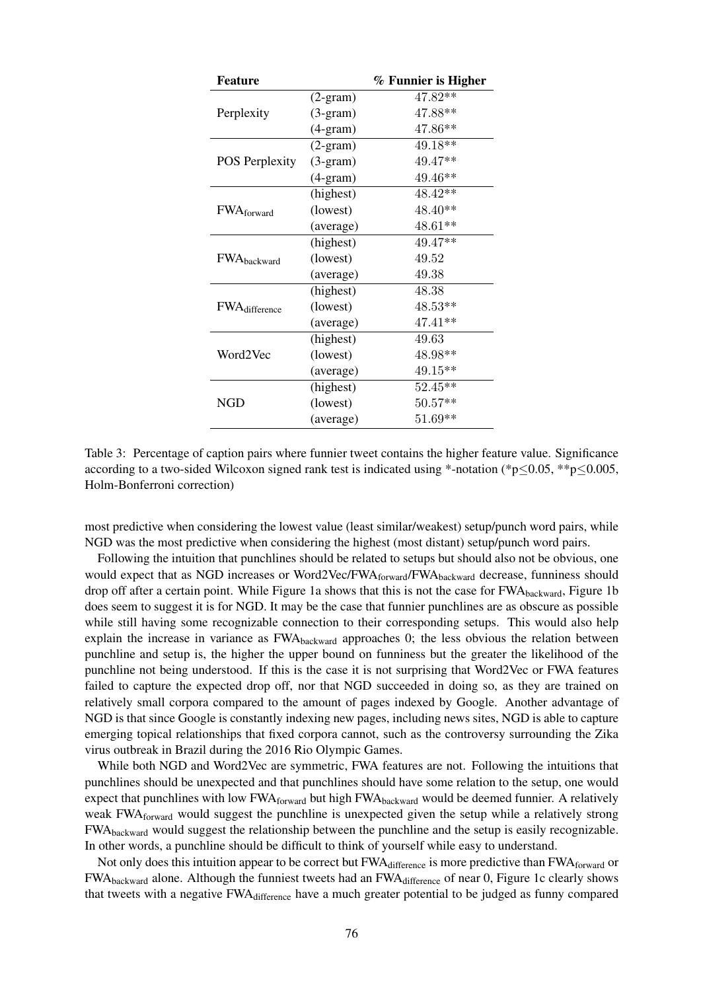| <b>Feature</b>         |                   | % Funnier is Higher |
|------------------------|-------------------|---------------------|
|                        | $(2-gram)$        | $47.82**$           |
| Perplexity             | $(3-gram)$        | 47.88**             |
|                        | $(4-gram)$        | 47.86**             |
|                        | $(2-gram)$        | 49.18**             |
| <b>POS Perplexity</b>  | $(3-gram)$        | 49.47**             |
|                        | $(4\text{-}gram)$ | 49.46**             |
|                        | (highest)         | 48.42**             |
| FWA <sub>forward</sub> | (lowest)          | 48.40**             |
|                        | (average)         | 48.61**             |
|                        | (highest)         | 49.47**             |
| FWAbackward            | (lowest)          | 49.52               |
|                        | (average)         | 49.38               |
|                        | (highest)         | 48.38               |
| <b>FWA</b> difference  | (lowest)          | $48.53**$           |
|                        | (average)         | 47.41**             |
| Word2Vec               | (highest)         | 49.63               |
|                        | (lowest)          | 48.98**             |
|                        | (average)         | 49.15**             |
| NGD                    | (highest)         | $52.45**$           |
|                        | (lowest)          | $50.57**$           |
|                        | (average)         | 51.69**             |

Table 3: Percentage of caption pairs where funnier tweet contains the higher feature value. Significance according to a two-sided Wilcoxon signed rank test is indicated using \*-notation (\*p≤0.05, \*\*p≤0.005, Holm-Bonferroni correction)

most predictive when considering the lowest value (least similar/weakest) setup/punch word pairs, while NGD was the most predictive when considering the highest (most distant) setup/punch word pairs.

Following the intuition that punchlines should be related to setups but should also not be obvious, one would expect that as NGD increases or Word2Vec/FWA<sub>forward</sub>/FWA<sub>backward</sub> decrease, funniness should drop off after a certain point. While Figure 1a shows that this is not the case for FWAbackward, Figure 1b does seem to suggest it is for NGD. It may be the case that funnier punchlines are as obscure as possible while still having some recognizable connection to their corresponding setups. This would also help explain the increase in variance as FWA<sub>backward</sub> approaches 0; the less obvious the relation between punchline and setup is, the higher the upper bound on funniness but the greater the likelihood of the punchline not being understood. If this is the case it is not surprising that Word2Vec or FWA features failed to capture the expected drop off, nor that NGD succeeded in doing so, as they are trained on relatively small corpora compared to the amount of pages indexed by Google. Another advantage of NGD is that since Google is constantly indexing new pages, including news sites, NGD is able to capture emerging topical relationships that fixed corpora cannot, such as the controversy surrounding the Zika virus outbreak in Brazil during the 2016 Rio Olympic Games.

While both NGD and Word2Vec are symmetric, FWA features are not. Following the intuitions that punchlines should be unexpected and that punchlines should have some relation to the setup, one would expect that punchlines with low FWA<sub>forward</sub> but high FWA<sub>backward</sub> would be deemed funnier. A relatively weak FWA<sub>forward</sub> would suggest the punchline is unexpected given the setup while a relatively strong FWAbackward would suggest the relationship between the punchline and the setup is easily recognizable. In other words, a punchline should be difficult to think of yourself while easy to understand.

Not only does this intuition appear to be correct but FWA difference is more predictive than FWA forward or FWA<sub>backward</sub> alone. Although the funniest tweets had an FWA<sub>difference</sub> of near 0, Figure 1c clearly shows that tweets with a negative FWA<sub>difference</sub> have a much greater potential to be judged as funny compared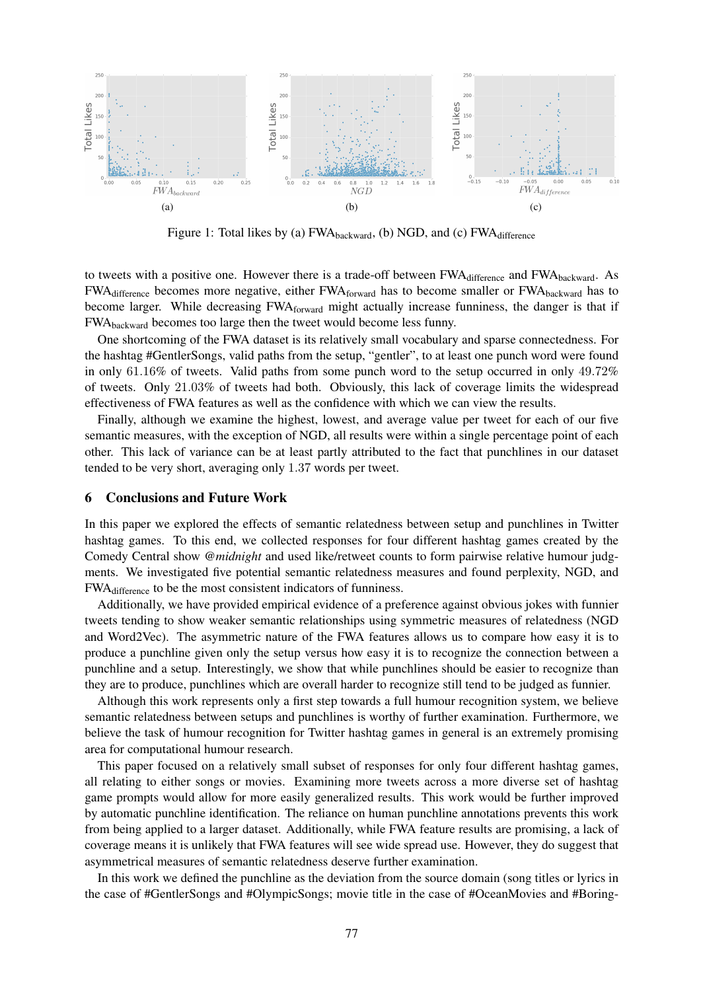

Figure 1: Total likes by (a) FWA<sub>backward</sub>, (b) NGD, and (c) FWA<sub>difference</sub>

to tweets with a positive one. However there is a trade-off between FWAdifference and FWAbackward. As FWA<sub>difference</sub> becomes more negative, either FWA<sub>forward</sub> has to become smaller or FWA<sub>backward</sub> has to become larger. While decreasing FWAforward might actually increase funniness, the danger is that if FWAbackward becomes too large then the tweet would become less funny.

One shortcoming of the FWA dataset is its relatively small vocabulary and sparse connectedness. For the hashtag #GentlerSongs, valid paths from the setup, "gentler", to at least one punch word were found in only 61.16% of tweets. Valid paths from some punch word to the setup occurred in only 49.72% of tweets. Only 21.03% of tweets had both. Obviously, this lack of coverage limits the widespread effectiveness of FWA features as well as the confidence with which we can view the results.

Finally, although we examine the highest, lowest, and average value per tweet for each of our five semantic measures, with the exception of NGD, all results were within a single percentage point of each other. This lack of variance can be at least partly attributed to the fact that punchlines in our dataset tended to be very short, averaging only 1.37 words per tweet.

### 6 Conclusions and Future Work

In this paper we explored the effects of semantic relatedness between setup and punchlines in Twitter hashtag games. To this end, we collected responses for four different hashtag games created by the Comedy Central show *@midnight* and used like/retweet counts to form pairwise relative humour judgments. We investigated five potential semantic relatedness measures and found perplexity, NGD, and FWAdifference to be the most consistent indicators of funniness.

Additionally, we have provided empirical evidence of a preference against obvious jokes with funnier tweets tending to show weaker semantic relationships using symmetric measures of relatedness (NGD and Word2Vec). The asymmetric nature of the FWA features allows us to compare how easy it is to produce a punchline given only the setup versus how easy it is to recognize the connection between a punchline and a setup. Interestingly, we show that while punchlines should be easier to recognize than they are to produce, punchlines which are overall harder to recognize still tend to be judged as funnier.

Although this work represents only a first step towards a full humour recognition system, we believe semantic relatedness between setups and punchlines is worthy of further examination. Furthermore, we believe the task of humour recognition for Twitter hashtag games in general is an extremely promising area for computational humour research.

This paper focused on a relatively small subset of responses for only four different hashtag games, all relating to either songs or movies. Examining more tweets across a more diverse set of hashtag game prompts would allow for more easily generalized results. This work would be further improved by automatic punchline identification. The reliance on human punchline annotations prevents this work from being applied to a larger dataset. Additionally, while FWA feature results are promising, a lack of coverage means it is unlikely that FWA features will see wide spread use. However, they do suggest that asymmetrical measures of semantic relatedness deserve further examination.

In this work we defined the punchline as the deviation from the source domain (song titles or lyrics in the case of #GentlerSongs and #OlympicSongs; movie title in the case of #OceanMovies and #Boring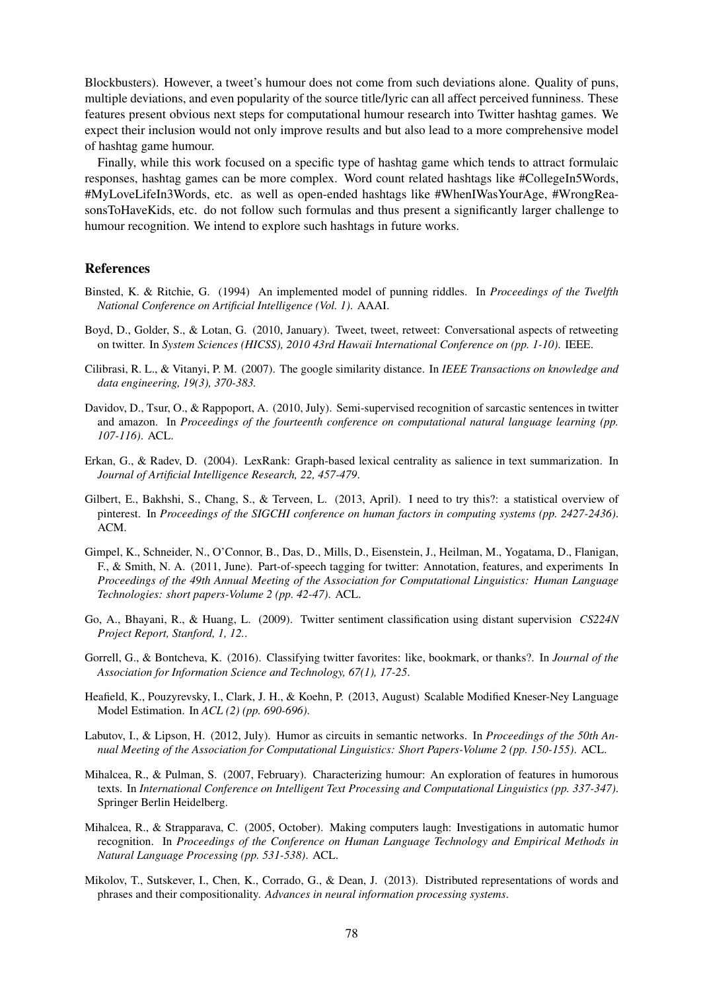Blockbusters). However, a tweet's humour does not come from such deviations alone. Quality of puns, multiple deviations, and even popularity of the source title/lyric can all affect perceived funniness. These features present obvious next steps for computational humour research into Twitter hashtag games. We expect their inclusion would not only improve results and but also lead to a more comprehensive model of hashtag game humour.

Finally, while this work focused on a specific type of hashtag game which tends to attract formulaic responses, hashtag games can be more complex. Word count related hashtags like #CollegeIn5Words, #MyLoveLifeIn3Words, etc. as well as open-ended hashtags like #WhenIWasYourAge, #WrongReasonsToHaveKids, etc. do not follow such formulas and thus present a significantly larger challenge to humour recognition. We intend to explore such hashtags in future works.

### References

- Binsted, K. & Ritchie, G. (1994) An implemented model of punning riddles. In *Proceedings of the Twelfth National Conference on Artificial Intelligence (Vol. 1)*. AAAI.
- Boyd, D., Golder, S., & Lotan, G. (2010, January). Tweet, tweet, retweet: Conversational aspects of retweeting on twitter. In *System Sciences (HICSS), 2010 43rd Hawaii International Conference on (pp. 1-10)*. IEEE.
- Cilibrasi, R. L., & Vitanyi, P. M. (2007). The google similarity distance. In *IEEE Transactions on knowledge and data engineering, 19(3), 370-383.*
- Davidov, D., Tsur, O., & Rappoport, A. (2010, July). Semi-supervised recognition of sarcastic sentences in twitter and amazon. In *Proceedings of the fourteenth conference on computational natural language learning (pp. 107-116)*. ACL.
- Erkan, G., & Radev, D. (2004). LexRank: Graph-based lexical centrality as salience in text summarization. In *Journal of Artificial Intelligence Research, 22, 457-479*.
- Gilbert, E., Bakhshi, S., Chang, S., & Terveen, L. (2013, April). I need to try this?: a statistical overview of pinterest. In *Proceedings of the SIGCHI conference on human factors in computing systems (pp. 2427-2436)*. ACM.
- Gimpel, K., Schneider, N., O'Connor, B., Das, D., Mills, D., Eisenstein, J., Heilman, M., Yogatama, D., Flanigan, F., & Smith, N. A. (2011, June). Part-of-speech tagging for twitter: Annotation, features, and experiments In *Proceedings of the 49th Annual Meeting of the Association for Computational Linguistics: Human Language Technologies: short papers-Volume 2 (pp. 42-47)*. ACL.
- Go, A., Bhayani, R., & Huang, L. (2009). Twitter sentiment classification using distant supervision *CS224N Project Report, Stanford, 1, 12.*.
- Gorrell, G., & Bontcheva, K. (2016). Classifying twitter favorites: like, bookmark, or thanks?. In *Journal of the Association for Information Science and Technology, 67(1), 17-25*.
- Heafield, K., Pouzyrevsky, I., Clark, J. H., & Koehn, P. (2013, August) Scalable Modified Kneser-Ney Language Model Estimation. In *ACL (2) (pp. 690-696)*.
- Labutov, I., & Lipson, H. (2012, July). Humor as circuits in semantic networks. In *Proceedings of the 50th Annual Meeting of the Association for Computational Linguistics: Short Papers-Volume 2 (pp. 150-155)*. ACL.
- Mihalcea, R., & Pulman, S. (2007, February). Characterizing humour: An exploration of features in humorous texts. In *International Conference on Intelligent Text Processing and Computational Linguistics (pp. 337-347)*. Springer Berlin Heidelberg.
- Mihalcea, R., & Strapparava, C. (2005, October). Making computers laugh: Investigations in automatic humor recognition. In *Proceedings of the Conference on Human Language Technology and Empirical Methods in Natural Language Processing (pp. 531-538)*. ACL.
- Mikolov, T., Sutskever, I., Chen, K., Corrado, G., & Dean, J. (2013). Distributed representations of words and phrases and their compositionality. *Advances in neural information processing systems*.